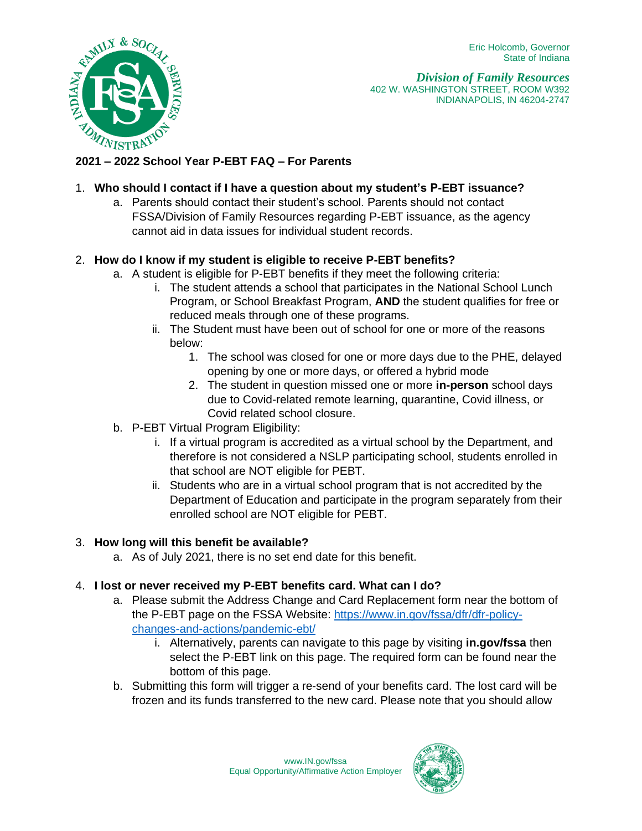

*Division of Family Resources* 402 W. WASHINGTON STREET, ROOM W392 INDIANAPOLIS, IN 46204-2747

## 1. **Who should I contact if I have a question about my student's P-EBT issuance?**

a. Parents should contact their student's school. Parents should not contact FSSA/Division of Family Resources regarding P-EBT issuance, as the agency cannot aid in data issues for individual student records.

# 2. **How do I know if my student is eligible to receive P-EBT benefits?**

- a. A student is eligible for P-EBT benefits if they meet the following criteria:
	- i. The student attends a school that participates in the National School Lunch Program, or School Breakfast Program, **AND** the student qualifies for free or reduced meals through one of these programs.
	- ii. The Student must have been out of school for one or more of the reasons below:
		- 1. The school was closed for one or more days due to the PHE, delayed opening by one or more days, or offered a hybrid mode
		- 2. The student in question missed one or more **in-person** school days due to Covid-related remote learning, quarantine, Covid illness, or Covid related school closure.
- b. P-EBT Virtual Program Eligibility:
	- i. If a virtual program is accredited as a virtual school by the Department, and therefore is not considered a NSLP participating school, students enrolled in that school are NOT eligible for PEBT.
	- ii. Students who are in a virtual school program that is not accredited by the Department of Education and participate in the program separately from their enrolled school are NOT eligible for PEBT.

### 3. **How long will this benefit be available?**

a. As of July 2021, there is no set end date for this benefit.

### 4. **I lost or never received my P-EBT benefits card. What can I do?**

- a. Please submit the Address Change and Card Replacement form near the bottom of the P-EBT page on the FSSA Website: [https://www.in.gov/fssa/dfr/dfr-policy](https://www.in.gov/fssa/dfr/dfr-policy-changes-and-actions/pandemic-ebt/)[changes-and-actions/pandemic-ebt/](https://www.in.gov/fssa/dfr/dfr-policy-changes-and-actions/pandemic-ebt/)
	- i. Alternatively, parents can navigate to this page by visiting **in.gov/fssa** then select the P-EBT link on this page. The required form can be found near the bottom of this page.
- b. Submitting this form will trigger a re-send of your benefits card. The lost card will be frozen and its funds transferred to the new card. Please note that you should allow